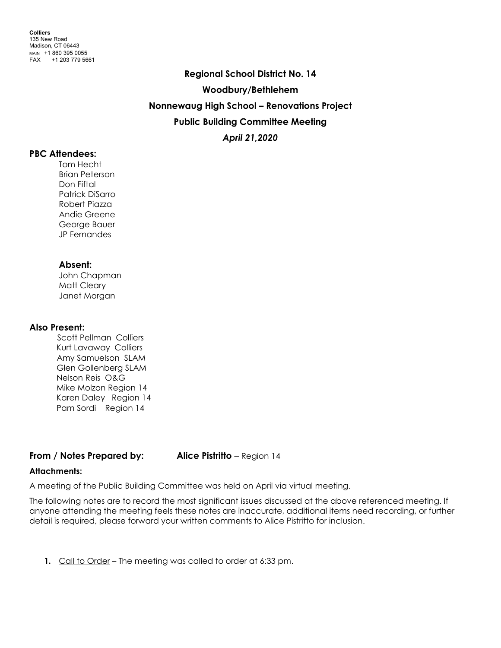**Regional School District No. 14 Woodbury/Bethlehem Nonnewaug High School – Renovations Project Public Building Committee Meeting** *April 21,2020*

#### **PBC Attendees:**

Tom Hecht Brian Peterson Don Fiftal Patrick DiSarro Robert Piazza Andie Greene George Bauer JP Fernandes

# **Absent:**

John Chapman Matt Cleary Janet Morgan

# **Also Present:**

Scott Pellman Colliers Kurt Lavaway Colliers Amy Samuelson SLAM Glen Gollenberg SLAM Nelson Reis O&G Mike Molzon Region 14 Karen Daley Region 14 Pam Sordi Region 14

# **From / Notes Prepared by: Alice Pistritto** – Region 14

# **Attachments:**

A meeting of the Public Building Committee was held on April via virtual meeting.

The following notes are to record the most significant issues discussed at the above referenced meeting. If anyone attending the meeting feels these notes are inaccurate, additional items need recording, or further detail is required, please forward your written comments to Alice Pistritto for inclusion.

**1.** Call to Order – The meeting was called to order at 6:33 pm.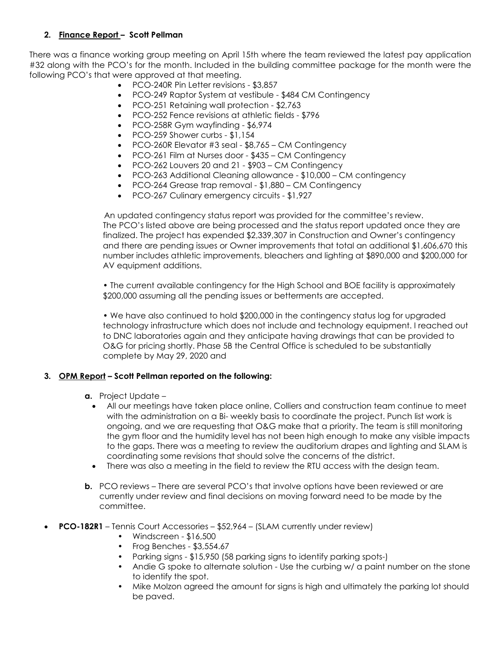# **2. Finance Report – Scott Pellman**

There was a finance working group meeting on April 15th where the team reviewed the latest pay application #32 along with the PCO's for the month. Included in the building committee package for the month were the following PCO's that were approved at that meeting.

- PCO-240R Pin Letter revisions \$3,857
- PCO-249 Raptor System at vestibule \$484 CM Contingency
- PCO-251 Retaining wall protection \$2,763
- PCO-252 Fence revisions at athletic fields \$796
- PCO-258R Gym wayfinding \$6,974
- PCO-259 Shower curbs \$1,154
- PCO-260R Elevator #3 seal \$8,765 CM Contingency
- PCO-261 Film at Nurses door \$435 CM Contingency
- PCO-262 Louvers 20 and 21 \$903 CM Contingency
- PCO-263 Additional Cleaning allowance \$10,000 CM contingency
- PCO-264 Grease trap removal \$1,880 CM Contingency
- PCO-267 Culinary emergency circuits \$1,927

 An updated contingency status report was provided for the committee's review. The PCO's listed above are being processed and the status report updated once they are finalized. The project has expended \$2,339,307 in Construction and Owner's contingency and there are pending issues or Owner improvements that total an additional \$1,606,670 this number includes athletic improvements, bleachers and lighting at \$890,000 and \$200,000 for AV equipment additions.

• The current available contingency for the High School and BOE facility is approximately \$200,000 assuming all the pending issues or betterments are accepted.

• We have also continued to hold \$200,000 in the contingency status log for upgraded technology infrastructure which does not include and technology equipment. I reached out to DNC laboratories again and they anticipate having drawings that can be provided to O&G for pricing shortly. Phase 5B the Central Office is scheduled to be substantially complete by May 29, 2020 and

# **3. OPM Report – Scott Pellman reported on the following:**

- **a.** Project Update
	- All our meetings have taken place online, Colliers and construction team continue to meet with the administration on a Bi- weekly basis to coordinate the project. Punch list work is ongoing, and we are requesting that O&G make that a priority. The team is still monitoring the gym floor and the humidity level has not been high enough to make any visible impacts to the gaps. There was a meeting to review the auditorium drapes and lighting and SLAM is coordinating some revisions that should solve the concerns of the district.
	- There was also a meeting in the field to review the RTU access with the design team.
- **b.** PCO reviews There are several PCO's that involve options have been reviewed or are currently under review and final decisions on moving forward need to be made by the committee.
- **PCO-182R1** Tennis Court Accessories \$52,964 (SLAM currently under review)
	- Windscreen \$16,500
	- Frog Benches \$3,554.67
	- Parking signs \$15,950 (58 parking signs to identify parking spots-)
	- Andie G spoke to alternate solution Use the curbing w/ a paint number on the stone to identify the spot.
	- Mike Molzon agreed the amount for signs is high and ultimately the parking lot should be paved.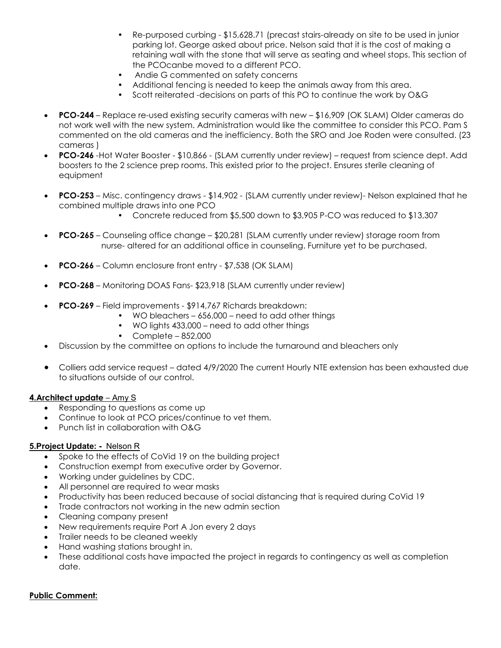- Re-purposed curbing \$15,628.71 (precast stairs-already on site to be used in junior parking lot. George asked about price. Nelson said that it is the cost of making a retaining wall with the stone that will serve as seating and wheel stops. This section of the PCOcanbe moved to a different PCO.
- Andie G commented on safety concerns
- Additional fencing is needed to keep the animals away from this area.
- Scott reiterated -decisions on parts of this PO to continue the work by O&G
- **PCO-244** Replace re-used existing security cameras with new \$16,909 (OK SLAM) Older cameras do not work well with the new system. Administration would like the committee to consider this PCO. Pam S commented on the old cameras and the inefficiency. Both the SRO and Joe Roden were consulted. (23 cameras )
- **PCO-246** -Hot Water Booster \$10,866 (SLAM currently under review) request from science dept. Add boosters to the 2 science prep rooms. This existed prior to the project. Ensures sterile cleaning of equipment
- **PCO-253** Misc. contingency draws \$14,902 (SLAM currently under review)- Nelson explained that he combined multiple draws into one PCO
	- Concrete reduced from \$5,500 down to \$3,905 P-CO was reduced to \$13,307
- **PCO-265** Counseling office change \$20,281 (SLAM currently under review) storage room from nurse- altered for an additional office in counseling. Furniture yet to be purchased.
- **PCO-266** Column enclosure front entry \$7,538 (OK SLAM)
- **PCO-268** Monitoring DOAS Fans- \$23,918 (SLAM currently under review)
- **PCO-269** Field improvements \$914,767 Richards breakdown:
	- WO bleachers 656,000 need to add other things
	- WO lights 433,000 need to add other things
	- Complete 852,000
- Discussion by the committee on options to include the turnaround and bleachers only
- Colliers add service request dated 4/9/2020 The current Hourly NTE extension has been exhausted due to situations outside of our control.

#### **4.Architect update** – Amy S

- Responding to questions as come up
- Continue to look at PCO prices/continue to vet them.
- Punch list in collaboration with O&G

#### **5.Project Update: -** Nelson R

- Spoke to the effects of CoVid 19 on the building project
- Construction exempt from executive order by Governor.
- Working under guidelines by CDC.
- All personnel are required to wear masks
- Productivity has been reduced because of social distancing that is required during CoVid 19
- Trade contractors not working in the new admin section
- Cleaning company present
- New requirements require Port A Jon every 2 days
- Trailer needs to be cleaned weekly
- Hand washing stations brought in.
- These additional costs have impacted the project in regards to contingency as well as completion date.

#### **Public Comment:**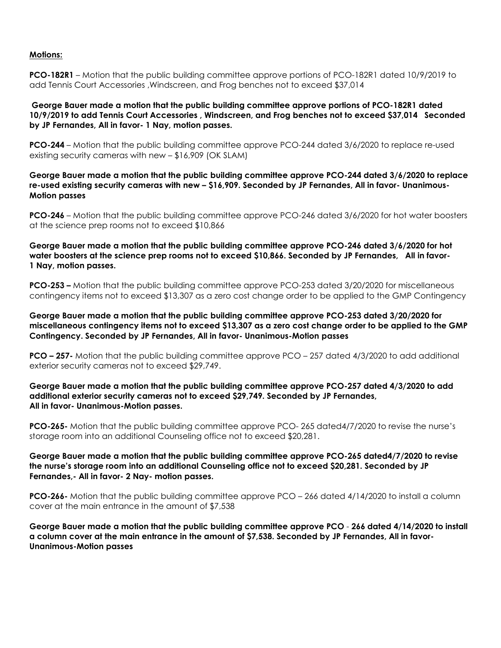#### **Motions:**

**PCO-182R1** – Motion that the public building committee approve portions of PCO-182R1 dated 10/9/2019 to add Tennis Court Accessories ,Windscreen, and Frog benches not to exceed \$37,014

**George Bauer made a motion that the public building committee approve portions of PCO-182R1 dated 10/9/2019 to add Tennis Court Accessories , Windscreen, and Frog benches not to exceed \$37,014 Seconded by JP Fernandes, All in favor- 1 Nay, motion passes.**

**PCO-244** – Motion that the public building committee approve PCO-244 dated 3/6/2020 to replace re-used existing security cameras with new – \$16,909 (OK SLAM)

**George Bauer made a motion that the public building committee approve PCO-244 dated 3/6/2020 to replace re-used existing security cameras with new – \$16,909. Seconded by JP Fernandes, All in favor- Unanimous-Motion passes**

**PCO-246** – Motion that the public building committee approve PCO-246 dated 3/6/2020 for hot water boosters at the science prep rooms not to exceed \$10,866

**George Bauer made a motion that the public building committee approve PCO-246 dated 3/6/2020 for hot water boosters at the science prep rooms not to exceed \$10,866. Seconded by JP Fernandes, All in favor-1 Nay, motion passes.**

**PCO-253 –** Motion that the public building committee approve PCO-253 dated 3/20/2020 for miscellaneous contingency items not to exceed \$13,307 as a zero cost change order to be applied to the GMP Contingency

**George Bauer made a motion that the public building committee approve PCO-253 dated 3/20/2020 for miscellaneous contingency items not to exceed \$13,307 as a zero cost change order to be applied to the GMP Contingency. Seconded by JP Fernandes, All in favor- Unanimous-Motion passes**

**PCO – 257-** Motion that the public building committee approve PCO – 257 dated 4/3/2020 to add additional exterior security cameras not to exceed \$29,749.

**George Bauer made a motion that the public building committee approve PCO-257 dated 4/3/2020 to add additional exterior security cameras not to exceed \$29,749. Seconded by JP Fernandes, All in favor- Unanimous-Motion passes.**

**PCO-265-** Motion that the public building committee approve PCO- 265 dated4/7/2020 to revise the nurse's storage room into an additional Counseling office not to exceed \$20,281.

**George Bauer made a motion that the public building committee approve PCO-265 dated4/7/2020 to revise the nurse's storage room into an additional Counseling office not to exceed \$20,281. Seconded by JP Fernandes,- All in favor- 2 Nay- motion passes.**

**PCO-266-** Motion that the public building committee approve PCO – 266 dated 4/14/2020 to install a column cover at the main entrance in the amount of \$7,538

**George Bauer made a motion that the public building committee approve PCO** - **266 dated 4/14/2020 to install a column cover at the main entrance in the amount of \$7,538. Seconded by JP Fernandes, All in favor-Unanimous-Motion passes**